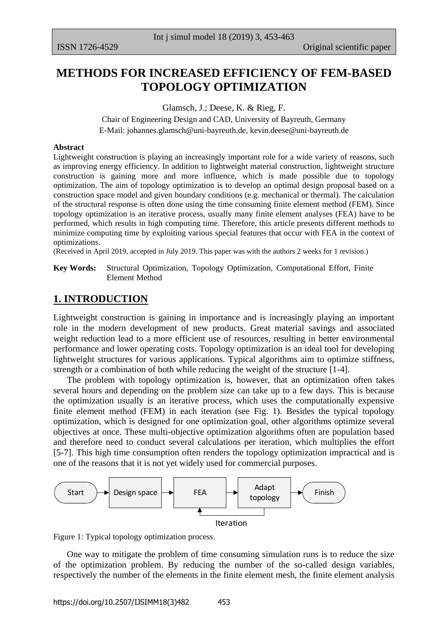# **METHODS FOR INCREASED EFFICIENCY OF FEM-BASED TOPOLOGY OPTIMIZATION**

Glamsch, J.; Deese, K. & Rieg, F.

Chair of Engineering Design and CAD, University of Bayreuth, Germany E-Mail: [johannes.glamsch@uni-bayreuth.de,](mailto:johannes.glamsch@uni-bayreuth.de) [kevin.deese@uni-bayreuth.de](mailto:kevin.deese@uni-bayreuth.de)

#### **Abstract**

Lightweight construction is playing an increasingly important role for a wide variety of reasons, such as improving energy efficiency. In addition to lightweight material construction, lightweight structure construction is gaining more and more influence, which is made possible due to topology optimization. The aim of topology optimization is to develop an optimal design proposal based on a construction space model and given boundary conditions (e.g. mechanical or thermal). The calculation of the structural response is often done using the time consuming finite element method (FEM). Since topology optimization is an iterative process, usually many finite element analyses (FEA) have to be performed, which results in high computing time. Therefore, this article presents different methods to minimize computing time by exploiting various special features that occur with FEA in the context of optimizations.

(Received in April 2019, accepted in July 2019. This paper was with the authors 2 weeks for 1 revision.)

**Key Words:** Structural Optimization, Topology Optimization, Computational Effort, Finite Element Method

# **1. INTRODUCTION**

Lightweight construction is gaining in importance and is increasingly playing an important role in the modern development of new products. Great material savings and associated weight reduction lead to a more efficient use of resources, resulting in better environmental performance and lower operating costs. Topology optimization is an ideal tool for developing lightweight structures for various applications. Typical algorithms aim to optimize stiffness, strength or a combination of both while reducing the weight of the structure [1-4].

 The problem with topology optimization is, however, that an optimization often takes several hours and depending on the problem size can take up to a few days. This is because the optimization usually is an iterative process, which uses the computationally expensive finite element method (FEM) in each iteration (see Fig. 1). Besides the typical topology optimization, which is designed for one optimization goal, other algorithms optimize several objectives at once. These multi-objective optimization algorithms often are population based and therefore need to conduct several calculations per iteration, which multiplies the effort [5-7]. This high time consumption often renders the topology optimization impractical and is one of the reasons that it is not yet widely used for commercial purposes.



Figure 1: Typical topology optimization process.

 One way to mitigate the problem of time consuming simulation runs is to reduce the size of the optimization problem. By reducing the number of the so-called design variables, respectively the number of the elements in the finite element mesh, the finite element analysis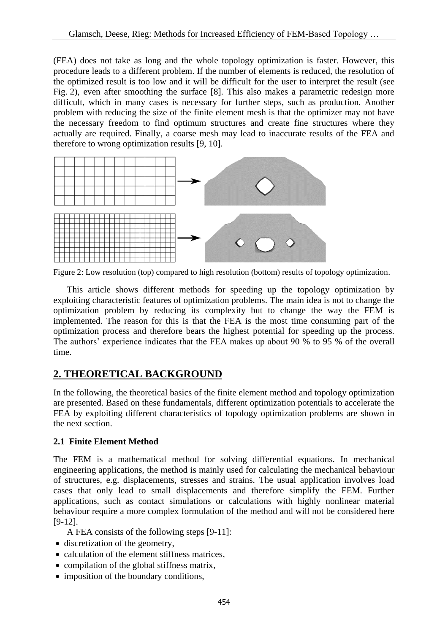(FEA) does not take as long and the whole topology optimization is faster. However, this procedure leads to a different problem. If the number of elements is reduced, the resolution of the optimized result is too low and it will be difficult for the user to interpret the result (see Fig. 2), even after smoothing the surface [8]. This also makes a parametric redesign more difficult, which in many cases is necessary for further steps, such as production. Another problem with reducing the size of the finite element mesh is that the optimizer may not have the necessary freedom to find optimum structures and create fine structures where they actually are required. Finally, a coarse mesh may lead to inaccurate results of the FEA and therefore to wrong optimization results [9, 10].



Figure 2: Low resolution (top) compared to high resolution (bottom) results of topology optimization.

 This article shows different methods for speeding up the topology optimization by exploiting characteristic features of optimization problems. The main idea is not to change the optimization problem by reducing its complexity but to change the way the FEM is implemented. The reason for this is that the FEA is the most time consuming part of the optimization process and therefore bears the highest potential for speeding up the process. The authors' experience indicates that the FEA makes up about 90 % to 95 % of the overall time.

# **2. THEORETICAL BACKGROUND**

In the following, the theoretical basics of the finite element method and topology optimization are presented. Based on these fundamentals, different optimization potentials to accelerate the FEA by exploiting different characteristics of topology optimization problems are shown in the next section.

# **2.1 Finite Element Method**

The FEM is a mathematical method for solving differential equations. In mechanical engineering applications, the method is mainly used for calculating the mechanical behaviour of structures, e.g. displacements, stresses and strains. The usual application involves load cases that only lead to small displacements and therefore simplify the FEM. Further applications, such as contact simulations or calculations with highly nonlinear material behaviour require a more complex formulation of the method and will not be considered here [9-12].

A FEA consists of the following steps [9-11]:

- discretization of the geometry,
- calculation of the element stiffness matrices.
- compilation of the global stiffness matrix,
- imposition of the boundary conditions.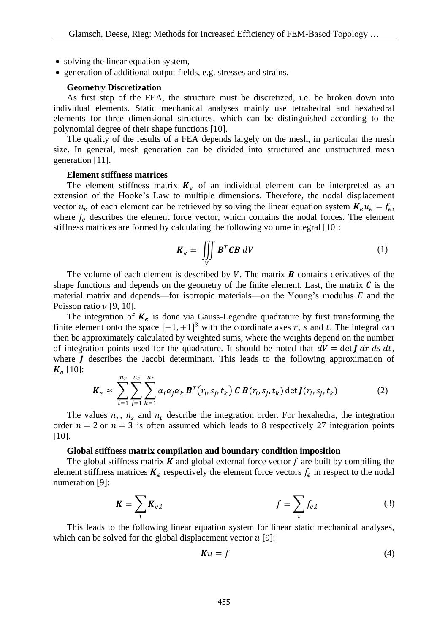- solving the linear equation system,
- generation of additional output fields, e.g. stresses and strains.

### **Geometry Discretization**

 As first step of the FEA, the structure must be discretized, i.e. be broken down into individual elements. Static mechanical analyses mainly use tetrahedral and hexahedral elements for three dimensional structures, which can be distinguished according to the polynomial degree of their shape functions [10].

 The quality of the results of a FEA depends largely on the mesh, in particular the mesh size. In general, mesh generation can be divided into structured and unstructured mesh generation [11].

#### **Element stiffness matrices**

The element stiffness matrix  $K_e$  of an individual element can be interpreted as an extension of the Hooke's Law to multiple dimensions. Therefore, the nodal displacement vector  $u_e$  of each element can be retrieved by solving the linear equation system  $K_e u_e = f_e$ , where  $f_e$  describes the element force vector, which contains the nodal forces. The element stiffness matrices are formed by calculating the following volume integral [10]:

$$
\boldsymbol{K}_e = \iiint\limits_V \boldsymbol{B}^T \boldsymbol{C} \boldsymbol{B} \, dV \tag{1}
$$

The volume of each element is described by  $V$ . The matrix  $\boldsymbol{B}$  contains derivatives of the shape functions and depends on the geometry of the finite element. Last, the matrix  $\bm{C}$  is the material matrix and depends—for isotropic materials—on the Young's modulus  $E$  and the Poisson ratio  $\nu$  [9, 10].

The integration of  $K_e$  is done via Gauss-Legendre quadrature by first transforming the finite element onto the space  $[-1, +1]^3$  with the coordinate axes r, s and t. The integral can then be approximately calculated by weighted sums, where the weights depend on the number of integration points used for the quadrature. It should be noted that  $dV = \det \int dr \, ds \, dt$ , where  *describes the Jacobi determinant. This leads to the following approximation of*  $K_e$  [10]:

$$
\boldsymbol{K}_e \approx \sum_{i=1}^{n_r} \sum_{j=1}^{n_s} \sum_{k=1}^{n_t} \alpha_i \alpha_j \alpha_k \boldsymbol{B}^T(r_i, s_j, t_k) \boldsymbol{C} \boldsymbol{B}(r_i, s_j, t_k) \det \boldsymbol{J}(r_i, s_j, t_k)
$$
(2)

The values  $n_r$ ,  $n_s$  and  $n_t$  describe the integration order. For hexahedra, the integration order  $n = 2$  or  $n = 3$  is often assumed which leads to 8 respectively 27 integration points [10].

#### **Global stiffness matrix compilation and boundary condition imposition**

The global stiffness matrix  $\boldsymbol{K}$  and global external force vector  $\boldsymbol{f}$  are built by compiling the element stiffness matrices  $K_e$  respectively the element force vectors  $f_e$  in respect to the nodal numeration [9]:

$$
K = \sum_{i} K_{e,i} \qquad f = \sum_{i} f_{e,i} \qquad (3)
$$

 This leads to the following linear equation system for linear static mechanical analyses, which can be solved for the global displacement vector  $u$  [9]:

$$
Ku = f \tag{4}
$$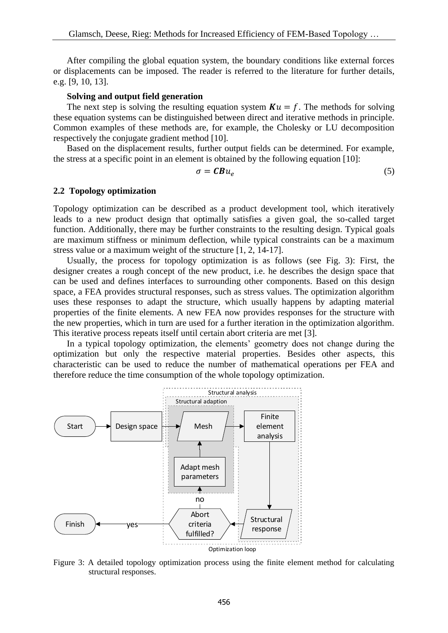After compiling the global equation system, the boundary conditions like external forces or displacements can be imposed. The reader is referred to the literature for further details, e.g. [9, 10, 13].

#### **Solving and output field generation**

The next step is solving the resulting equation system  $Ku = f$ . The methods for solving these equation systems can be distinguished between direct and iterative methods in principle. Common examples of these methods are, for example, the Cholesky or LU decomposition respectively the conjugate gradient method [10].

 Based on the displacement results, further output fields can be determined. For example, the stress at a specific point in an element is obtained by the following equation [10]:

$$
\sigma = \mathbf{C} \mathbf{B} u_e \tag{5}
$$

#### **2.2 Topology optimization**

Topology optimization can be described as a product development tool, which iteratively leads to a new product design that optimally satisfies a given goal, the so-called target function. Additionally, there may be further constraints to the resulting design. Typical goals are maximum stiffness or minimum deflection, while typical constraints can be a maximum stress value or a maximum weight of the structure [1, 2, 14-17].

 Usually, the process for topology optimization is as follows (see Fig. 3): First, the designer creates a rough concept of the new product, i.e. he describes the design space that can be used and defines interfaces to surrounding other components. Based on this design space, a FEA provides structural responses, such as stress values. The optimization algorithm uses these responses to adapt the structure, which usually happens by adapting material properties of the finite elements. A new FEA now provides responses for the structure with the new properties, which in turn are used for a further iteration in the optimization algorithm. This iterative process repeats itself until certain abort criteria are met [3].

 In a typical topology optimization, the elements' geometry does not change during the optimization but only the respective material properties. Besides other aspects, this characteristic can be used to reduce the number of mathematical operations per FEA and therefore reduce the time consumption of the whole topology optimization.



Figure 3: A detailed topology optimization process using the finite element method for calculating structural responses.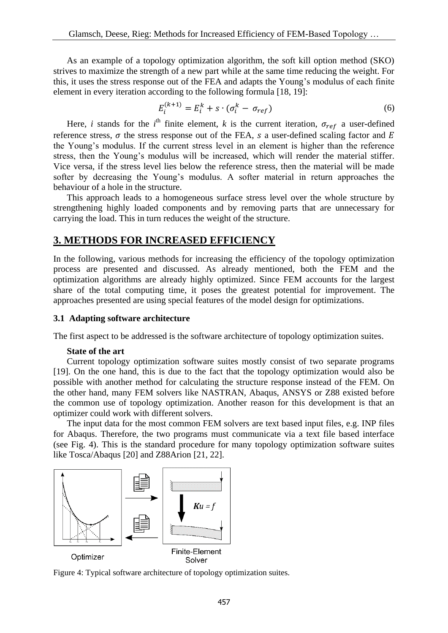As an example of a topology optimization algorithm, the soft kill option method (SKO) strives to maximize the strength of a new part while at the same time reducing the weight. For this, it uses the stress response out of the FEA and adapts the Young's modulus of each finite element in every iteration according to the following formula [18, 19]:

$$
E_i^{(k+1)} = E_i^k + s \cdot (\sigma_i^k - \sigma_{ref})
$$
\n<sup>(6)</sup>

Here, *i* stands for the *i*<sup>th</sup> finite element, *k* is the current iteration,  $\sigma_{ref}$  a user-defined reference stress,  $\sigma$  the stress response out of the FEA, s a user-defined scaling factor and E the Young's modulus. If the current stress level in an element is higher than the reference stress, then the Young's modulus will be increased, which will render the material stiffer. Vice versa, if the stress level lies below the reference stress, then the material will be made softer by decreasing the Young's modulus. A softer material in return approaches the behaviour of a hole in the structure.

 This approach leads to a homogeneous surface stress level over the whole structure by strengthening highly loaded components and by removing parts that are unnecessary for carrying the load. This in turn reduces the weight of the structure.

### **3. METHODS FOR INCREASED EFFICIENCY**

In the following, various methods for increasing the efficiency of the topology optimization process are presented and discussed. As already mentioned, both the FEM and the optimization algorithms are already highly optimized. Since FEM accounts for the largest share of the total computing time, it poses the greatest potential for improvement. The approaches presented are using special features of the model design for optimizations.

### **3.1 Adapting software architecture**

The first aspect to be addressed is the software architecture of topology optimization suites.

#### **State of the art**

 Current topology optimization software suites mostly consist of two separate programs [19]. On the one hand, this is due to the fact that the topology optimization would also be possible with another method for calculating the structure response instead of the FEM. On the other hand, many FEM solvers like NASTRAN, Abaqus, ANSYS or Z88 existed before the common use of topology optimization. Another reason for this development is that an optimizer could work with different solvers.

 The input data for the most common FEM solvers are text based input files, e.g. INP files for Abaqus. Therefore, the two programs must communicate via a text file based interface (see Fig. 4). This is the standard procedure for many topology optimization software suites like Tosca/Abaqus [20] and Z88Arion [21, 22].



Figure 4: Typical software architecture of topology optimization suites.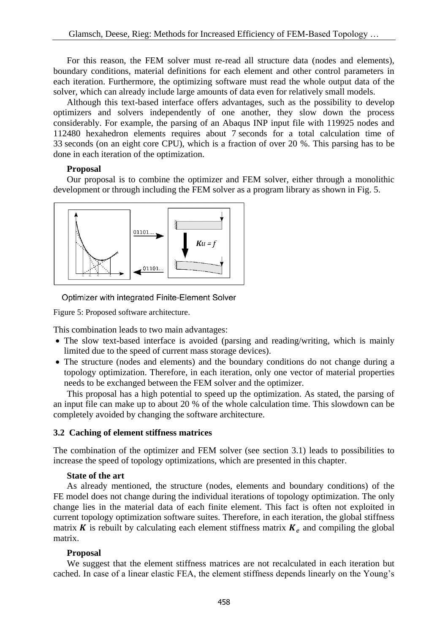For this reason, the FEM solver must re-read all structure data (nodes and elements), boundary conditions, material definitions for each element and other control parameters in each iteration. Furthermore, the optimizing software must read the whole output data of the solver, which can already include large amounts of data even for relatively small models.

 Although this text-based interface offers advantages, such as the possibility to develop optimizers and solvers independently of one another, they slow down the process considerably. For example, the parsing of an Abaqus INP input file with 119925 nodes and 112480 hexahedron elements requires about 7 seconds for a total calculation time of 33 seconds (on an eight core CPU), which is a fraction of over 20 %. This parsing has to be done in each iteration of the optimization.

# **Proposal**

 Our proposal is to combine the optimizer and FEM solver, either through a monolithic development or through including the FEM solver as a program library as shown in Fig. 5.



Optimizer with integrated Finite-Element Solver

Figure 5: Proposed software architecture.

This combination leads to two main advantages:

- The slow text-based interface is avoided (parsing and reading/writing, which is mainly limited due to the speed of current mass storage devices).
- The structure (nodes and elements) and the boundary conditions do not change during a topology optimization. Therefore, in each iteration, only one vector of material properties needs to be exchanged between the FEM solver and the optimizer.

 This proposal has a high potential to speed up the optimization. As stated, the parsing of an input file can make up to about 20 % of the whole calculation time. This slowdown can be completely avoided by changing the software architecture.

# **3.2 Caching of element stiffness matrices**

The combination of the optimizer and FEM solver (see section 3.1) leads to possibilities to increase the speed of topology optimizations, which are presented in this chapter.

# **State of the art**

 As already mentioned, the structure (nodes, elements and boundary conditions) of the FE model does not change during the individual iterations of topology optimization. The only change lies in the material data of each finite element. This fact is often not exploited in current topology optimization software suites. Therefore, in each iteration, the global stiffness matrix  $\boldsymbol{K}$  is rebuilt by calculating each element stiffness matrix  $\boldsymbol{K}_e$  and compiling the global matrix.

# **Proposal**

 We suggest that the element stiffness matrices are not recalculated in each iteration but cached. In case of a linear elastic FEA, the element stiffness depends linearly on the Young's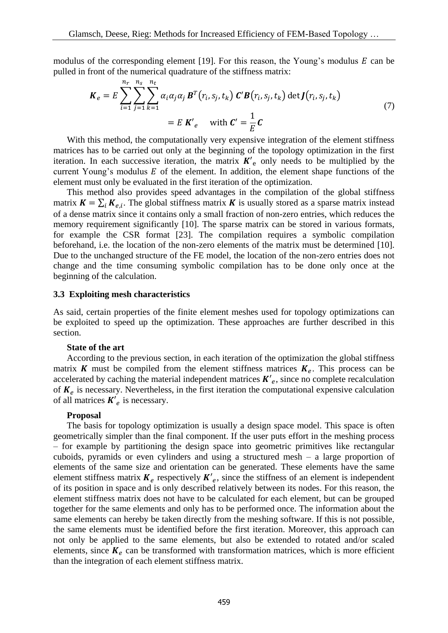modulus of the corresponding element [19]. For this reason, the Young's modulus  $E$  can be pulled in front of the numerical quadrature of the stiffness matrix:

$$
\boldsymbol{K}_e = E \sum_{i=1}^{n_r} \sum_{j=1}^{n_s} \sum_{k=1}^{n_t} \alpha_i \alpha_j \alpha_j \boldsymbol{B}^T(r_i, s_j, t_k) \boldsymbol{C}' \boldsymbol{B}(r_i, s_j, t_k) \det \boldsymbol{J}(r_i, s_j, t_k)
$$
\n
$$
= E \boldsymbol{K}'_e \quad \text{with } \boldsymbol{C}' = \frac{1}{E} \boldsymbol{C}
$$
\n(7)

 With this method, the computationally very expensive integration of the element stiffness matrices has to be carried out only at the beginning of the topology optimization in the first iteration. In each successive iteration, the matrix  $K'_{\rho}$  only needs to be multiplied by the current Young's modulus  $E$  of the element. In addition, the element shape functions of the element must only be evaluated in the first iteration of the optimization.

 This method also provides speed advantages in the compilation of the global stiffness matrix  $K = \sum_i K_{e,i}$ . The global stiffness matrix K is usually stored as a sparse matrix instead of a dense matrix since it contains only a small fraction of non-zero entries, which reduces the memory requirement significantly [10]. The sparse matrix can be stored in various formats, for example the CSR format [23]. The compilation requires a symbolic compilation beforehand, i.e. the location of the non-zero elements of the matrix must be determined [10]. Due to the unchanged structure of the FE model, the location of the non-zero entries does not change and the time consuming symbolic compilation has to be done only once at the beginning of the calculation.

### **3.3 Exploiting mesh characteristics**

As said, certain properties of the finite element meshes used for topology optimizations can be exploited to speed up the optimization. These approaches are further described in this section.

#### **State of the art**

 According to the previous section, in each iteration of the optimization the global stiffness matrix K must be compiled from the element stiffness matrices  $K_e$ . This process can be accelerated by caching the material independent matrices  $K'_{e}$ , since no complete recalculation of  $K_e$  is necessary. Nevertheless, in the first iteration the computational expensive calculation of all matrices  $K'_{e}$  is necessary.

### **Proposal**

 The basis for topology optimization is usually a design space model. This space is often geometrically simpler than the final component. If the user puts effort in the meshing process – for example by partitioning the design space into geometric primitives like rectangular cuboids, pyramids or even cylinders and using a structured mesh – a large proportion of elements of the same size and orientation can be generated. These elements have the same element stiffness matrix  $K_e$  respectively  $K'_e$ , since the stiffness of an element is independent of its position in space and is only described relatively between its nodes. For this reason, the element stiffness matrix does not have to be calculated for each element, but can be grouped together for the same elements and only has to be performed once. The information about the same elements can hereby be taken directly from the meshing software. If this is not possible, the same elements must be identified before the first iteration. Moreover, this approach can not only be applied to the same elements, but also be extended to rotated and/or scaled elements, since  $K_e$  can be transformed with transformation matrices, which is more efficient than the integration of each element stiffness matrix.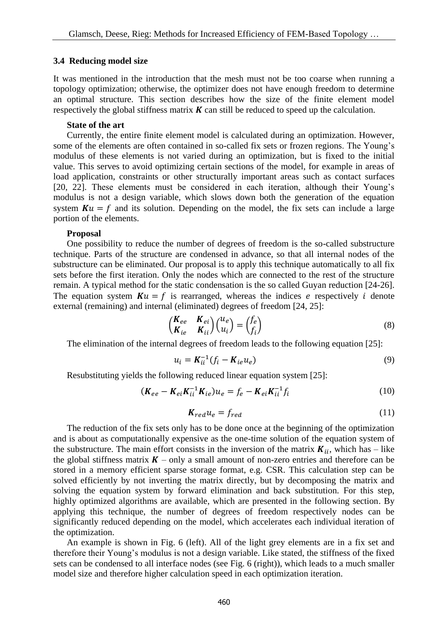#### **3.4 Reducing model size**

It was mentioned in the introduction that the mesh must not be too coarse when running a topology optimization; otherwise, the optimizer does not have enough freedom to determine an optimal structure. This section describes how the size of the finite element model respectively the global stiffness matrix  $K$  can still be reduced to speed up the calculation.

#### **State of the art**

 Currently, the entire finite element model is calculated during an optimization. However, some of the elements are often contained in so-called fix sets or frozen regions. The Young's modulus of these elements is not varied during an optimization, but is fixed to the initial value. This serves to avoid optimizing certain sections of the model, for example in areas of load application, constraints or other structurally important areas such as contact surfaces [20, 22]. These elements must be considered in each iteration, although their Young's modulus is not a design variable, which slows down both the generation of the equation system  $Ku = f$  and its solution. Depending on the model, the fix sets can include a large portion of the elements.

#### **Proposal**

 One possibility to reduce the number of degrees of freedom is the so-called substructure technique. Parts of the structure are condensed in advance, so that all internal nodes of the substructure can be eliminated. Our proposal is to apply this technique automatically to all fix sets before the first iteration. Only the nodes which are connected to the rest of the structure remain. A typical method for the static condensation is the so called Guyan reduction [24-26]. The equation system  $Ku = f$  is rearranged, whereas the indices e respectively *i* denote external (remaining) and internal (eliminated) degrees of freedom [24, 25]:

$$
\begin{pmatrix} K_{ee} & K_{ei} \\ K_{ie} & K_{ii} \end{pmatrix} \begin{pmatrix} u_e \\ u_i \end{pmatrix} = \begin{pmatrix} f_e \\ f_i \end{pmatrix}
$$
\n(8)

The elimination of the internal degrees of freedom leads to the following equation [25]:

$$
u_i = \mathbf{K}_{ii}^{-1} (f_i - \mathbf{K}_{ie} u_e) \tag{9}
$$

Resubstituting yields the following reduced linear equation system [25]:

$$
(\mathbf{K}_{ee} - \mathbf{K}_{ei} \mathbf{K}_{ii}^{-1} \mathbf{K}_{ie}) u_e = f_e - \mathbf{K}_{ei} \mathbf{K}_{ii}^{-1} f_i
$$
 (10)

$$
K_{red}u_e = f_{red} \tag{11}
$$

 The reduction of the fix sets only has to be done once at the beginning of the optimization and is about as computationally expensive as the one-time solution of the equation system of the substructure. The main effort consists in the inversion of the matrix  $K_{ii}$ , which has – like the global stiffness matrix  $K$  – only a small amount of non-zero entries and therefore can be stored in a memory efficient sparse storage format, e.g. CSR. This calculation step can be solved efficiently by not inverting the matrix directly, but by decomposing the matrix and solving the equation system by forward elimination and back substitution. For this step, highly optimized algorithms are available, which are presented in the following section. By applying this technique, the number of degrees of freedom respectively nodes can be significantly reduced depending on the model, which accelerates each individual iteration of the optimization.

 An example is shown in Fig. 6 (left). All of the light grey elements are in a fix set and therefore their Young's modulus is not a design variable. Like stated, the stiffness of the fixed sets can be condensed to all interface nodes (see Fig. 6 (right)), which leads to a much smaller model size and therefore higher calculation speed in each optimization iteration.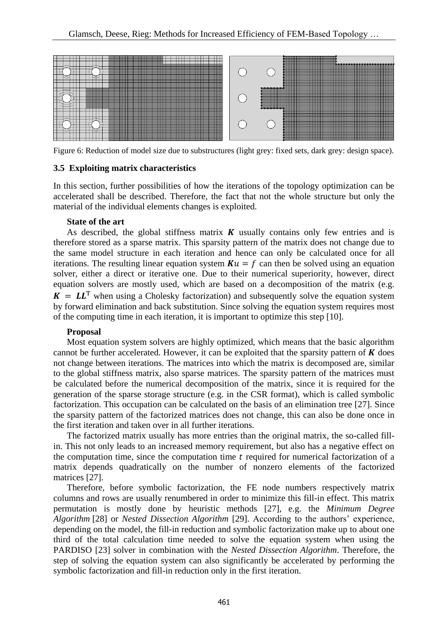

Figure 6: Reduction of model size due to substructures (light grey: fixed sets, dark grey: design space).

### **3.5 Exploiting matrix characteristics**

In this section, further possibilities of how the iterations of the topology optimization can be accelerated shall be described. Therefore, the fact that not the whole structure but only the material of the individual elements changes is exploited.

### **State of the art**

As described, the global stiffness matrix  $K$  usually contains only few entries and is therefore stored as a sparse matrix. This sparsity pattern of the matrix does not change due to the same model structure in each iteration and hence can only be calculated once for all iterations. The resulting linear equation system  $Ku = f$  can then be solved using an equation solver, either a direct or iterative one. Due to their numerical superiority, however, direct equation solvers are mostly used, which are based on a decomposition of the matrix (e.g.  $K = LL^T$  when using a Cholesky factorization) and subsequently solve the equation system by forward elimination and back substitution. Since solving the equation system requires most of the computing time in each iteration, it is important to optimize this step [10].

### **Proposal**

 Most equation system solvers are highly optimized, which means that the basic algorithm cannot be further accelerated. However, it can be exploited that the sparsity pattern of  $\boldsymbol{K}$  does not change between iterations. The matrices into which the matrix is decomposed are, similar to the global stiffness matrix, also sparse matrices. The sparsity pattern of the matrices must be calculated before the numerical decomposition of the matrix, since it is required for the generation of the sparse storage structure (e.g. in the CSR format), which is called symbolic factorization. This occupation can be calculated on the basis of an elimination tree [27]. Since the sparsity pattern of the factorized matrices does not change, this can also be done once in the first iteration and taken over in all further iterations.

 The factorized matrix usually has more entries than the original matrix, the so-called fillin. This not only leads to an increased memory requirement, but also has a negative effect on the computation time, since the computation time  $t$  required for numerical factorization of a matrix depends quadratically on the number of nonzero elements of the factorized matrices [27].

 Therefore, before symbolic factorization, the FE node numbers respectively matrix columns and rows are usually renumbered in order to minimize this fill-in effect. This matrix permutation is mostly done by heuristic methods [27], e.g. the *Minimum Degree Algorithm* [28] or *Nested Dissection Algorithm* [29]. According to the authors' experience, depending on the model, the fill-in reduction and symbolic factorization make up to about one third of the total calculation time needed to solve the equation system when using the PARDISO [23] solver in combination with the *Nested Dissection Algorithm*. Therefore, the step of solving the equation system can also significantly be accelerated by performing the symbolic factorization and fill-in reduction only in the first iteration.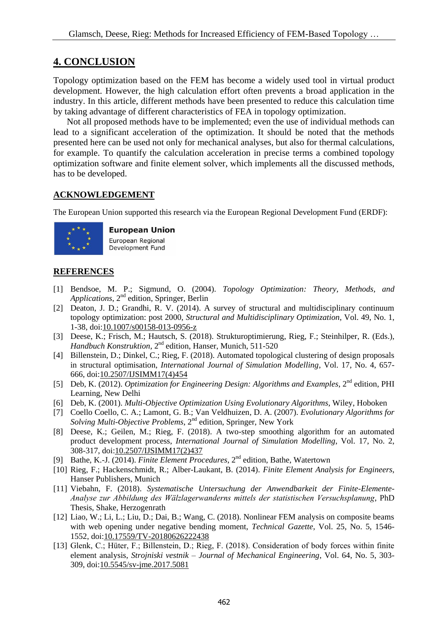# **4. CONCLUSION**

Topology optimization based on the FEM has become a widely used tool in virtual product development. However, the high calculation effort often prevents a broad application in the industry. In this article, different methods have been presented to reduce this calculation time by taking advantage of different characteristics of FEA in topology optimization.

 Not all proposed methods have to be implemented; even the use of individual methods can lead to a significant acceleration of the optimization. It should be noted that the methods presented here can be used not only for mechanical analyses, but also for thermal calculations, for example. To quantify the calculation acceleration in precise terms a combined topology optimization software and finite element solver, which implements all the discussed methods, has to be developed.

### **ACKNOWLEDGEMENT**

The European Union supported this research via the European Regional Development Fund (ERDF):



### **European Union** European Regional

Development Fund

# **REFERENCES**

- [1] Bendsoe, M. P.; Sigmund, O. (2004). *Topology Optimization: Theory, Methods, and*  Applications, 2<sup>nd</sup> edition, Springer, Berlin
- [2] Deaton, J. D.; Grandhi, R. V. (2014). A survey of structural and multidisciplinary continuum topology optimization: post 2000, *Structural and Multidisciplinary Optimization*, Vol. 49, No. 1, 1-38, doi[:10.1007/s00158-013-0956-z](http://doi.org/10.1007/s00158-013-0956-z)
- [3] Deese, K.; Frisch, M.; Hautsch, S. (2018). Strukturoptimierung, Rieg, F.; Steinhilper, R. (Eds.), *Handbuch Konstruktion*, 2nd edition, Hanser, Munich, 511-520
- [4] Billenstein, D.; Dinkel, C.; Rieg, F. (2018). Automated topological clustering of design proposals in structural optimisation, *International Journal of Simulation Modelling*, Vol. 17, No. 4, 657- 666, doi[:10.2507/IJSIMM17\(4\)454](http://doi.org/10.2507/IJSIMM17(4)454)
- [5] Deb, K. (2012). *Optimization for Engineering Design: Algorithms and Examples*, 2nd edition, PHI Learning, New Delhi
- [6] Deb, K. (2001). *Multi-Objective Optimization Using Evolutionary Algorithms*, Wiley, Hoboken
- [7] Coello Coello, C. A.; Lamont, G. B.; Van Veldhuizen, D. A. (2007). *Evolutionary Algorithms for*  Solving Multi-Objective Problems, 2<sup>nd</sup> edition, Springer, New York
- [8] Deese, K.; Geilen, M.; Rieg, F. (2018). A two-step smoothing algorithm for an automated product development process, *International Journal of Simulation Modelling*, Vol. 17, No. 2, 308-317, doi[:10.2507/IJSIMM17\(2\)437](http://doi.org/10.2507/IJSIMM17(2)437)
- [9] Bathe, K.-J. (2014). *Finite Element Procedures*, 2nd edition, Bathe, Watertown
- [10] Rieg, F.; Hackenschmidt, R.; Alber-Laukant, B. (2014). *Finite Element Analysis for Engineers*, Hanser Publishers, Munich
- [11] Viebahn, F. (2018). *Systematische Untersuchung der Anwendbarkeit der Finite-Elemente-Analyse zur Abbildung des Wälzlagerwanderns mittels der statistischen Versuchsplanung*, PhD Thesis, Shake, Herzogenrath
- [12] Liao, W.; Li, L.; Liu, D.; Dai, B.; Wang, C. (2018). Nonlinear FEM analysis on composite beams with web opening under negative bending moment, *Technical Gazette*, Vol. 25, No. 5, 1546- 1552, doi[:10.17559/TV-20180626222438](http://doi.org/10.17559/TV-20180626222438)
- [13] Glenk, C.; Hüter, F.; Billenstein, D.; Rieg, F. (2018). Consideration of body forces within finite element analysis, *Strojniski vestnik – Journal of Mechanical Engineering*, Vol. 64, No. 5, 303- 309, doi[:10.5545/sv-jme.2017.5081](http://doi.org/10.5545/sv-jme.2017.5081)